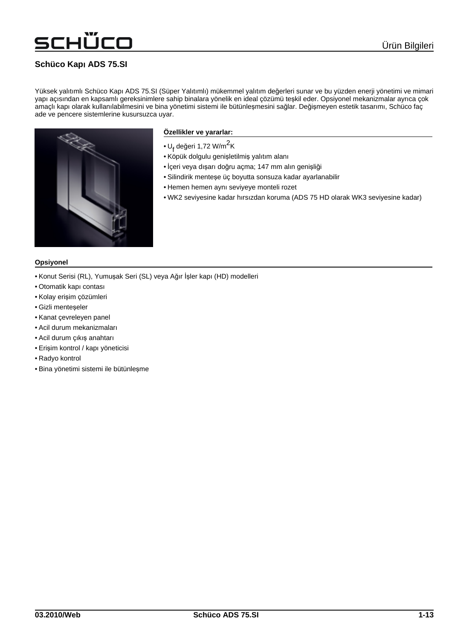# TCO

## **Schüco Kap**ı **ADS 75.SI**

Yüksek yalıtımlı Schüco Kapı ADS 75.SI (Süper Yalıtımlı) mükemmel yalıtım değerleri sunar ve bu yüzden enerji yönetimi ve mimari yapı açısından en kapsamlı gereksinimlere sahip binalara yönelik en ideal çözümü teşkil eder. Opsiyonel mekanizmalar ayrıca çok amaçlı kapı olarak kullanılabilmesini ve bina yönetimi sistemi ile bütünleşmesini sağlar. Değişmeyen estetik tasarımı, Schüco faç ade ve pencere sistemlerine kusursuzca uyar.



### **Özellikler ve yararlar:**

- $\cdot$  U<sub>f</sub> değeri 1,72 W/m<sup>2</sup>K
- Köpük dolgulu genişletilmiş yalıtım alanı
- İçeri veya dışarı doğru açma; 147 mm alın genişliği
- Silindirik menteşe üç boyutta sonsuza kadar ayarlanabilir
- Hemen hemen aynı seviyeye monteli rozet
- WK2 seviyesine kadar hırsızdan koruma (ADS 75 HD olarak WK3 seviyesine kadar)

#### **Opsiyonel**

- Konut Serisi (RL), Yumuşak Seri (SL) veya Ağır İşler kapı (HD) modelleri
- Otomatik kapı contası
- Kolay erişim çözümleri
- Gizli menteşeler
- Kanat çevreleyen panel
- Acil durum mekanizmaları
- Acil durum çıkış anahtarı
- Erişim kontrol / kapı yöneticisi
- Radyo kontrol
- Bina yönetimi sistemi ile bütünleşme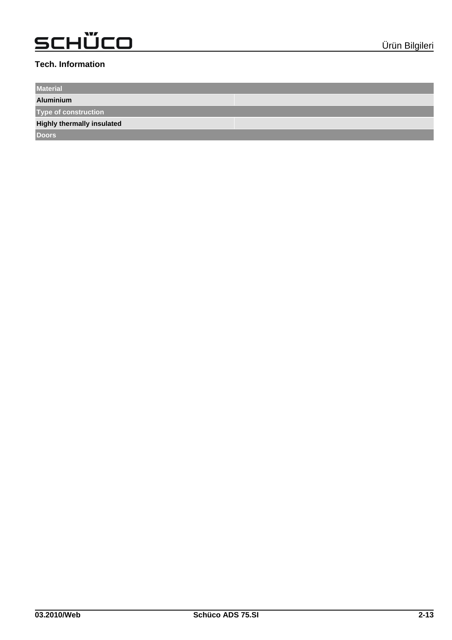### **Tech. Information**

**Material**

**Aluminium**

**Type of construction**

**Highly thermally insulated**

**Doors**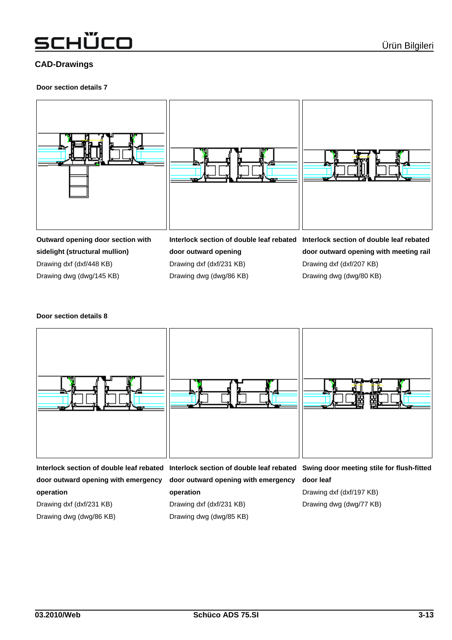## schÜco

### **CAD-Drawings**

#### **Door section details 7**



**sidelight (structural mullion)** Drawing dxf (dxf/448 KB) Drawing dwg (dwg/145 KB)

**door outward opening** Drawing dxf (dxf/231 KB) Drawing dwg (dwg/86 KB) **door outward opening with meeting rail** Drawing dxf (dxf/207 KB) Drawing dwg (dwg/80 KB)

### **Door section details 8**



**door outward opening with emergency operation**

Drawing dxf (dxf/231 KB)

Drawing dwg (dwg/86 KB)

**door outward opening with emergency operation** Drawing dxf (dxf/231 KB) Drawing dwg (dwg/85 KB)

**door leaf** Drawing dxf (dxf/197 KB)

Drawing dwg (dwg/77 KB)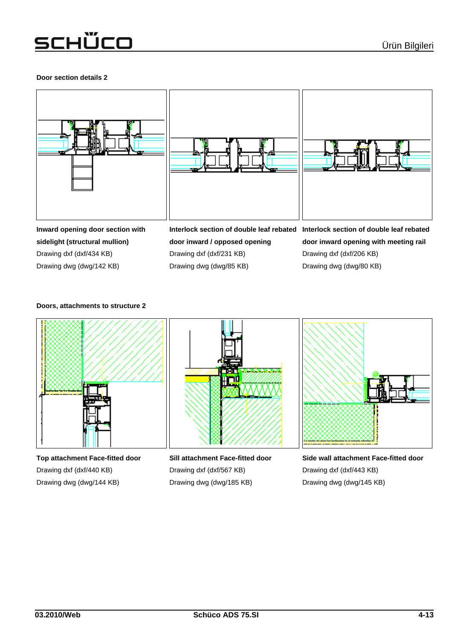### **Door section details 2**





**Inward opening door section with sidelight (structural mullion)** Drawing dxf (dxf/434 KB) Drawing dwg (dwg/142 KB)

**door inward / opposed opening** Drawing dxf (dxf/231 KB) Drawing dwg (dwg/85 KB)

**Interlock section of double leaf rebated Interlock section of double leaf rebated door inward opening with meeting rail** Drawing dxf (dxf/206 KB) Drawing dwg (dwg/80 KB)

### **Doors, attachments to structure 2**



**Top attachment Face-fitted door** Drawing dxf (dxf/440 KB) Drawing dwg (dwg/144 KB)

**Sill attachment Face-fitted door** Drawing dxf (dxf/567 KB) Drawing dwg (dwg/185 KB)

**Side wall attachment Face-fitted door** Drawing dxf (dxf/443 KB) Drawing dwg (dwg/145 KB)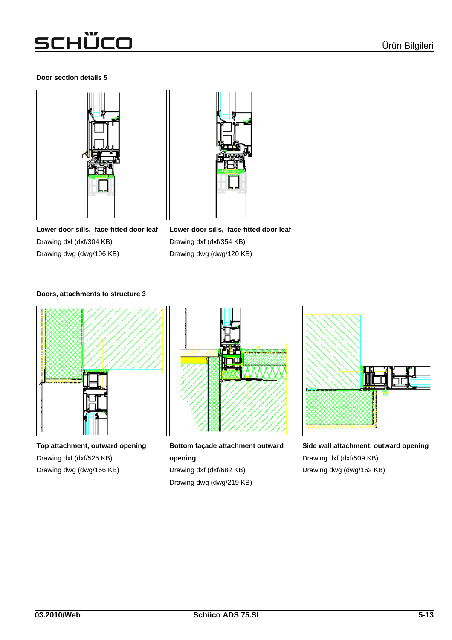### **Door section details 5**



**Lower door sills, face-fitted door leaf** Drawing dxf (dxf/304 KB) Drawing dwg (dwg/106 KB)

**Lower door sills, face-fitted door leaf** Drawing dxf (dxf/354 KB) Drawing dwg (dwg/120 KB)

### **Doors, attachments to structure 3**



**Top attachment, outward opening** Drawing dxf (dxf/525 KB) Drawing dwg (dwg/166 KB)



**Bottom façade attachment outward opening** Drawing dxf (dxf/682 KB) Drawing dwg (dwg/219 KB)



**Side wall attachment, outward opening** Drawing dxf (dxf/509 KB) Drawing dwg (dwg/162 KB)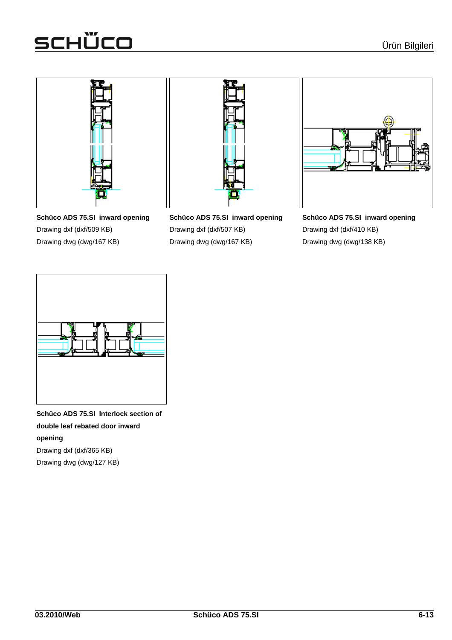





**Schüco ADS 75.SI inward opening** Drawing dxf (dxf/509 KB) Drawing dwg (dwg/167 KB)

**Schüco ADS 75.SI inward opening** Drawing dxf (dxf/507 KB) Drawing dwg (dwg/167 KB)

**Schüco ADS 75.SI inward opening** Drawing dxf (dxf/410 KB) Drawing dwg (dwg/138 KB)



**Schüco ADS 75.SI Interlock section of double leaf rebated door inward opening** Drawing dxf (dxf/365 KB) Drawing dwg (dwg/127 KB)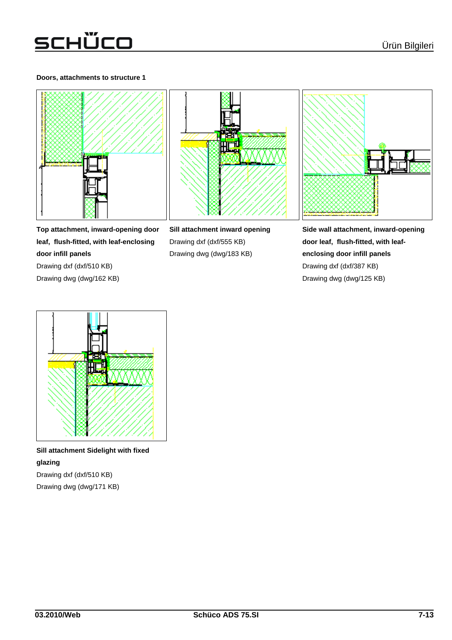### **Doors, attachments to structure 1**







**Top attachment, inward-opening door leaf, flush-fitted, with leaf-enclosing door infill panels** Drawing dxf (dxf/510 KB) Drawing dwg (dwg/162 KB)

**Sill attachment inward opening** Drawing dxf (dxf/555 KB) Drawing dwg (dwg/183 KB)

**Side wall attachment, inward-opening door leaf, flush-fitted, with leafenclosing door infill panels** Drawing dxf (dxf/387 KB) Drawing dwg (dwg/125 KB)



**Sill attachment Sidelight with fixed glazing** Drawing dxf (dxf/510 KB)

Drawing dwg (dwg/171 KB)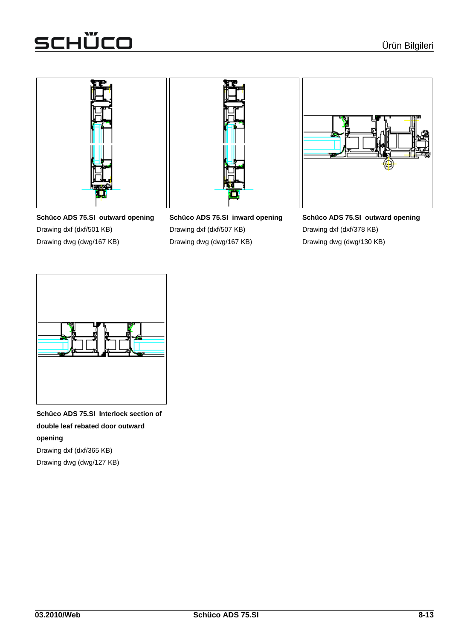

**Schüco ADS 75.SI outward opening** Drawing dxf (dxf/501 KB) Drawing dwg (dwg/167 KB)

**Schüco ADS 75.SI inward opening** Drawing dxf (dxf/507 KB) Drawing dwg (dwg/167 KB)

**Schüco ADS 75.SI outward opening** Drawing dxf (dxf/378 KB) Drawing dwg (dwg/130 KB)



**Schüco ADS 75.SI Interlock section of double leaf rebated door outward opening** Drawing dxf (dxf/365 KB)

Drawing dwg (dwg/127 KB)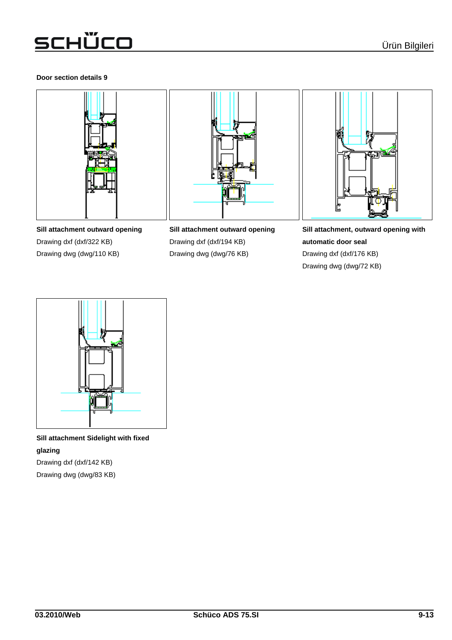### **Door section details 9**







**Sill attachment outward opening**

Drawing dxf (dxf/194 KB) Drawing dwg (dwg/76 KB)



**Sill attachment, outward opening with automatic door seal** Drawing dxf (dxf/176 KB) Drawing dwg (dwg/72 KB)



**Sill attachment Sidelight with fixed glazing** Drawing dxf (dxf/142 KB)

Drawing dwg (dwg/83 KB)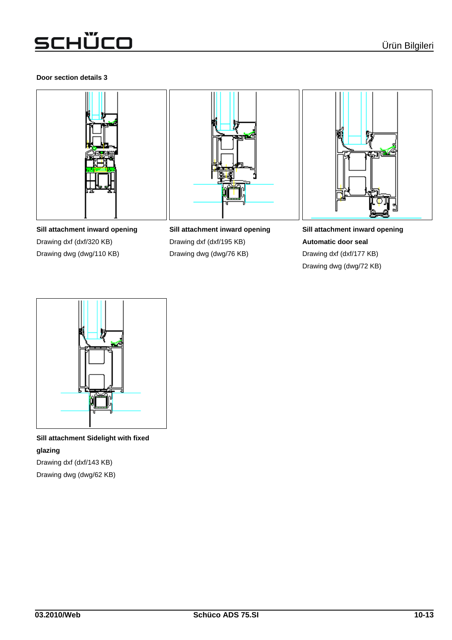### **Door section details 3**







**Sill attachment inward opening**

Drawing dxf (dxf/195 KB) Drawing dwg (dwg/76 KB)



**Sill attachment inward opening Automatic door seal** Drawing dxf (dxf/177 KB) Drawing dwg (dwg/72 KB)



**Sill attachment Sidelight with fixed glazing** Drawing dxf (dxf/143 KB)

Drawing dwg (dwg/62 KB)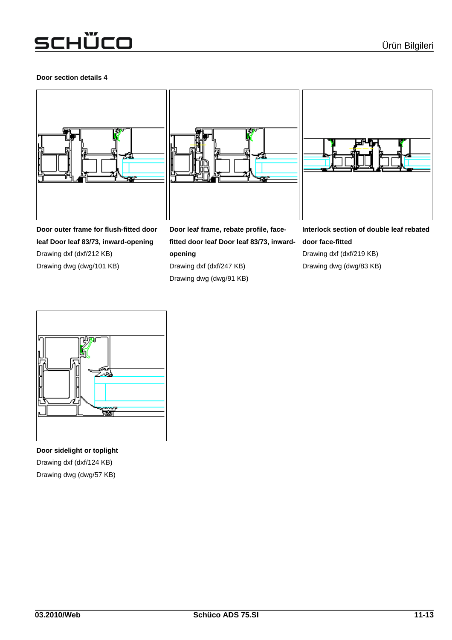### **Door section details 4**







**Door outer frame for flush-fitted door leaf Door leaf 83/73, inward-opening** Drawing dxf (dxf/212 KB) Drawing dwg (dwg/101 KB)

**Door leaf frame, rebate profile, facefitted door leaf Door leaf 83/73, inwardopening** Drawing dxf (dxf/247 KB) Drawing dwg (dwg/91 KB)

**Interlock section of double leaf rebated door face-fitted** Drawing dxf (dxf/219 KB) Drawing dwg (dwg/83 KB)



**Door sidelight or toplight** Drawing dxf (dxf/124 KB) Drawing dwg (dwg/57 KB)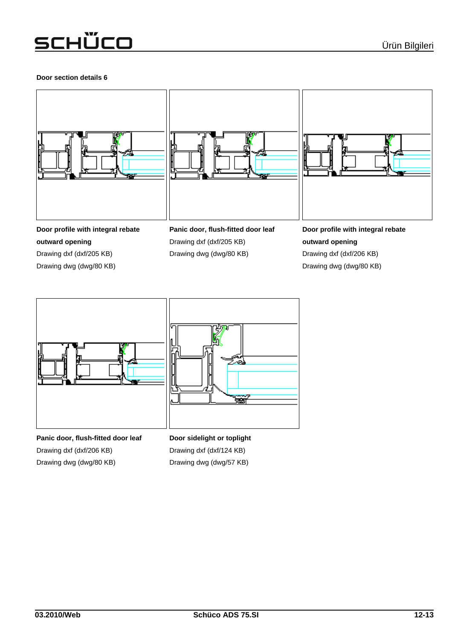### **Door section details 6**







**Door profile with integral rebate outward opening** Drawing dxf (dxf/205 KB)

Drawing dwg (dwg/80 KB)

**Panic door, flush-fitted door leaf** Drawing dxf (dxf/205 KB) Drawing dwg (dwg/80 KB)

**Door profile with integral rebate outward opening** Drawing dxf (dxf/206 KB) Drawing dwg (dwg/80 KB)



**Panic door, flush-fitted door leaf** Drawing dxf (dxf/206 KB) Drawing dwg (dwg/80 KB)

**Door sidelight or toplight** Drawing dxf (dxf/124 KB) Drawing dwg (dwg/57 KB)